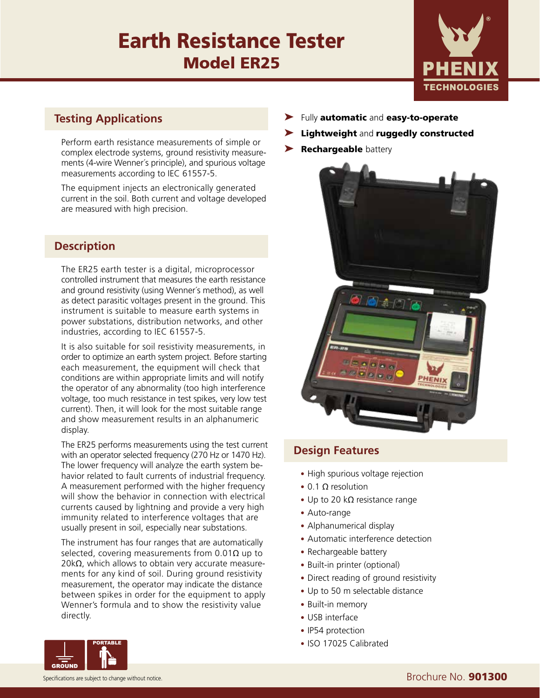

### **Testing Applications**

Perform earth resistance measurements of simple or  $\overline{\phantom{a}}$  **Rechargeable** battery complex electrode systems, ground resistivity measurements (4-wire Wenner´s principle), and spurious voltage measurements according to IEC 61557-5.

The equipment injects an electronically generated current in the soil. Both current and voltage developed are measured with high precision.

# Fully **automatic** and **easy-to-operate**

- Lightweight and ruggedly constructed
- 



### **Design Features**

- High spurious voltage rejection
- 0.1 Ω resolution
- Up to 20 k $\Omega$  resistance range
- Auto-range
- Alphanumerical display
- Automatic interference detection
- Rechargeable battery
- Built-in printer (optional)
- Direct reading of ground resistivity
- Up to 50 m selectable distance
- Built-in memory
- USB interface
- IP54 protection
- ISO 17025 Calibrated



#### Specifications are subject to change without notice. Specifications are subject to change without notice.

#### **Description**

The ER25 earth tester is a digital, microprocessor controlled instrument that measures the earth resistance and ground resistivity (using Wenner´s method), as well as detect parasitic voltages present in the ground. This instrument is suitable to measure earth systems in power substations, distribution networks, and other industries, according to IEC 61557-5.

It is also suitable for soil resistivity measurements, in order to optimize an earth system project. Before starting each measurement, the equipment will check that conditions are within appropriate limits and will notify the operator of any abnormality (too high interference voltage, too much resistance in test spikes, very low test current). Then, it will look for the most suitable range and show measurement results in an alphanumeric display.

The ER25 performs measurements using the test current with an operator selected frequency (270 Hz or 1470 Hz). The lower frequency will analyze the earth system behavior related to fault currents of industrial frequency. A measurement performed with the higher frequency will show the behavior in connection with electrical currents caused by lightning and provide a very high immunity related to interference voltages that are usually present in soil, especially near substations.

The instrument has four ranges that are automatically selected, covering measurements from  $0.01\Omega$  up to 20kΩ, which allows to obtain very accurate measurements for any kind of soil. During ground resistivity measurement, the operator may indicate the distance between spikes in order for the equipment to apply Wenner's formula and to show the resistivity value directly.